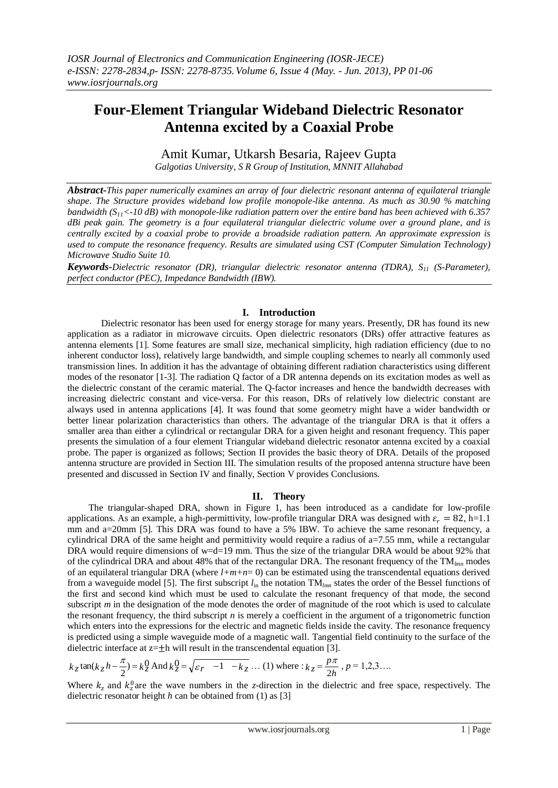# **Four-Element Triangular Wideband Dielectric Resonator Antenna excited by a Coaxial Probe**

Amit Kumar, Utkarsh Besaria, Rajeev Gupta *Galgotias University, S R Group of Institution, MNNIT Allahabad*

*Abstract-This paper numerically examines an array of four dielectric resonant antenna of equilateral triangle shape. The Structure provides wideband low profile monopole-like antenna. As much as 30.90 % matching bandwidth (S11<-10 dB) with monopole-like radiation pattern over the entire band has been achieved with 6.357 dBi peak gain. The geometry is a four equilateral triangular dielectric volume over a ground plane, and is centrally excited by a coaxial probe to provide a broadside radiation pattern. An approximate expression is used to compute the resonance frequency. Results are simulated using CST (Computer Simulation Technology) Microwave Studio Suite 10.*

*Keywords-Dielectric resonator (DR), triangular dielectric resonator antenna (TDRA), S<sup>11</sup> (S-Parameter), perfect conductor (PEC), Impedance Bandwidth (IBW).*

# **I. Introduction**

Dielectric resonator has been used for energy storage for many years. Presently, DR has found its new application as a radiator in microwave circuits. Open dielectric resonators (DRs) offer attractive features as antenna elements [1]. Some features are small size, mechanical simplicity, high radiation efficiency (due to no inherent conductor loss), relatively large bandwidth, and simple coupling schemes to nearly all commonly used transmission lines. In addition it has the advantage of obtaining different radiation characteristics using different modes of the resonator [1-3]. The radiation Q factor of a DR antenna depends on its excitation modes as well as the dielectric constant of the ceramic material. The Q-factor increases and hence the bandwidth decreases with increasing dielectric constant and vice-versa. For this reason, DRs of relatively low dielectric constant are always used in antenna applications [4]. It was found that some geometry might have a wider bandwidth or better linear polarization characteristics than others. The advantage of the triangular DRA is that it offers a smaller area than either a cylindrical or rectangular DRA for a given height and resonant frequency. This paper presents the simulation of a four element Triangular wideband dielectric resonator antenna excited by a coaxial probe. The paper is organized as follows; Section II provides the basic theory of DRA. Details of the proposed antenna structure are provided in Section III. The simulation results of the proposed antenna structure have been presented and discussed in Section IV and finally, Section V provides Conclusions.

## **II. Theory**

The triangular-shaped DRA, shown in Figure 1, has been introduced as a candidate for low-profile applications. As an example, a high-permittivity, low-profile triangular DRA was designed with  $\varepsilon_r = 82$ , h=1.1 mm and a=20mm [5]. This DRA was found to have a 5% IBW. To achieve the same resonant frequency, a cylindrical DRA of the same height and permittivity would require a radius of a=7.55 mm, while a rectangular DRA would require dimensions of w=d=19 mm. Thus the size of the triangular DRA would be about 92% that of the cylindrical DRA and about 48% that of the rectangular DRA. The resonant frequency of the TM*lmn* modes of an equilateral triangular DRA (where *l+m+n*= 0) can be estimated using the transcendental equations derived from a waveguide model [5]. The first subscript *l*in the notation TM*lmn* states the order of the Bessel functions of the first and second kind which must be used to calculate the resonant frequency of that mode, the second subscript *m* in the designation of the mode denotes the order of magnitude of the root which is used to calculate the resonant frequency, the third subscript  $n$  is merely a coefficient in the argument of a trigonometric function which enters into the expressions for the electric and magnetic fields inside the cavity. The resonance frequency is predicted using a simple waveguide mode of a magnetic wall. Tangential field continuity to the surface of the dielectric interface at  $z=\pm h$  will result in the transcendental equation [3].

$$
k_z \tan(k_z h - \frac{\pi}{2}) = k_z^0
$$
 And  $k_z^0 = \sqrt{\varepsilon_r - 1 - k_z}$  ... (1) where :  $k_z = \frac{p\pi}{2h}$ ,  $p = 1, 2, 3$ ....

Where  $k_z$  and  $k_z^0$  are the wave numbers in the *z*-direction in the dielectric and free space, respectively. The dielectric resonator height *h* can be obtained from (1) as [3]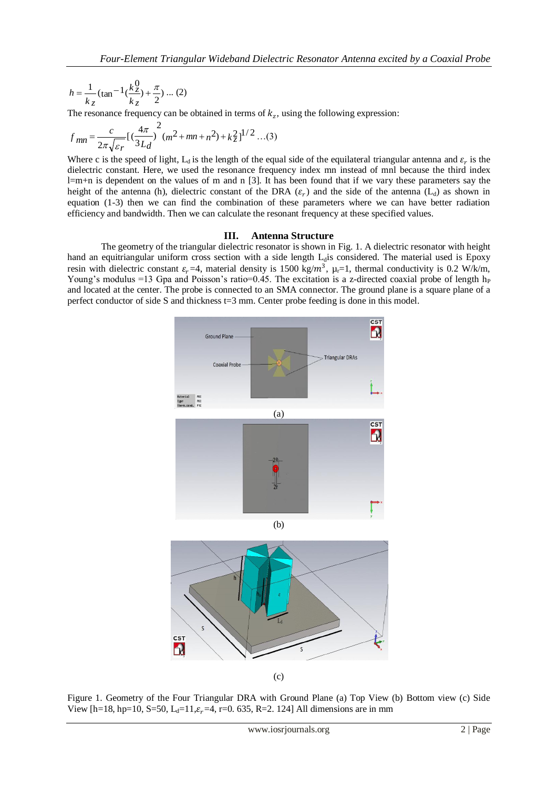$$
h = \frac{1}{k_z} (\tan^{-1}(\frac{k_z^0}{k_z}) + \frac{\pi}{2}) \dots (2)
$$

The resonance frequency can be obtained in terms of  $k_z$ , using the following expression:

$$
f_{mn} = \frac{c}{2\pi\sqrt{\varepsilon r}} \left[ \left( \frac{4\pi}{3L_d} \right)^2 (m^2 + mn + n^2) + k_z^2 \right]^{1/2} \dots (3)
$$

Where c is the speed of light,  $L_d$  is the length of the equal side of the equilateral triangular antenna and  $\varepsilon_r$  is the dielectric constant. Here, we used the resonance frequency index mn instead of mnl because the third index  $l=m+n$  is dependent on the values of m and n [3]. It has been found that if we vary these parameters say the height of the antenna (h), dielectric constant of the DRA  $(\varepsilon_r)$  and the side of the antenna ( $L_d$ ) as shown in equation (1-3) then we can find the combination of these parameters where we can have better radiation efficiency and bandwidth. Then we can calculate the resonant frequency at these specified values.

# **III. Antenna Structure**

The geometry of the triangular dielectric resonator is shown in Fig. 1. A dielectric resonator with height hand an equitriangular uniform cross section with a side length  $L<sub>d</sub>$  is considered. The material used is Epoxy resin with dielectric constant  $\varepsilon_r = 4$ , material density is 1500 kg/m<sup>3</sup>,  $\mu_r = 1$ , thermal conductivity is 0.2 W/k/m, Young's modulus =13 Gpa and Poisson's ratio=0.45. The excitation is a z-directed coaxial probe of length  $h_P$ and located at the center. The probe is connected to an SMA connector. The ground plane is a square plane of a perfect conductor of side S and thickness t=3 mm. Center probe feeding is done in this model.



(c)

Figure 1. Geometry of the Four Triangular DRA with Ground Plane (a) Top View (b) Bottom view (c) Side View [h=18, hp=10, S=50, L<sub>d</sub>=11, $\varepsilon$ <sub>r</sub>=4, r=0. 635, R=2. 124] All dimensions are in mm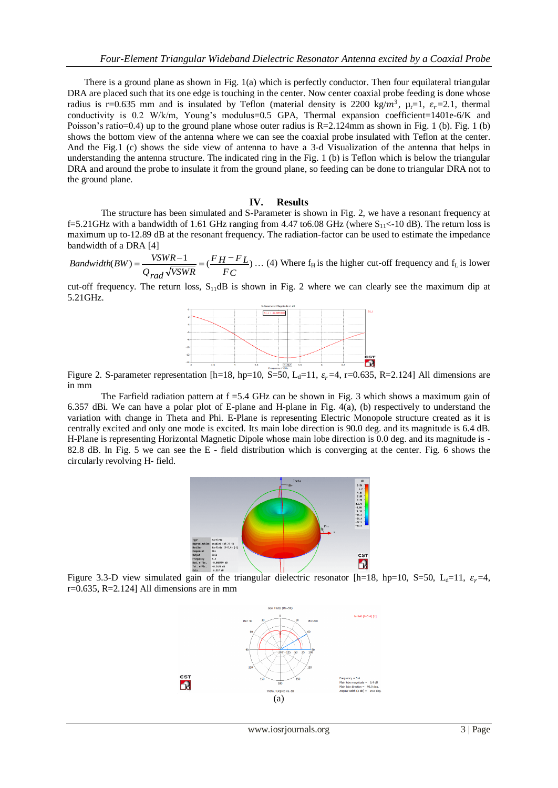There is a ground plane as shown in Fig. 1(a) which is perfectly conductor. Then four equilateral triangular DRA are placed such that its one edge is touching in the center. Now center coaxial probe feeding is done whose radius is r=0.635 mm and is insulated by Teflon (material density is 2200 kg/ $m^3$ ,  $\mu_r=1$ ,  $\varepsilon_r=2.1$ , thermal conductivity is 0.2 W/k/m, Young's modulus=0.5 GPA, Thermal expansion coefficient=1401e-6/K and Poisson's ratio=0.4) up to the ground plane whose outer radius is  $R=2.124$ mm as shown in Fig. 1 (b). Fig. 1 (b) shows the bottom view of the antenna where we can see the coaxial probe insulated with Teflon at the center. And the Fig.1 (c) shows the side view of antenna to have a 3-d Visualization of the antenna that helps in understanding the antenna structure. The indicated ring in the Fig. 1 (b) is Teflon which is below the triangular DRA and around the probe to insulate it from the ground plane, so feeding can be done to triangular DRA not to the ground plane.

## **IV. Results**

The structure has been simulated and S-Parameter is shown in Fig. 2, we have a resonant frequency at f=5.21GHz with a bandwidth of 1.61 GHz ranging from 4.47 to 6.08 GHz (where  $S_{11}$  < -10 dB). The return loss is maximum up to-12.89 dB at the resonant frequency. The radiation-factor can be used to estimate the impedance bandwidth of a DRA [4]

 $(BW) = \frac{VSWR - 1}{\sqrt{1 - FL}} = \left(\frac{FH - FL}{\sqrt{1 - FL}}\right)$ *FC F H F L Q VSWR rad Bandwidth*(*BW*) =  $\frac{VSWR-1}{\sqrt{V}}$  =  $\frac{(FH-FL)}{(H+FL)}$ ... (4) Where f<sub>H</sub> is the higher cut-off frequency and f<sub>L</sub> is lower

cut-off frequency. The return loss,  $S_{11}$ dB is shown in Fig. 2 where we can clearly see the maximum dip at 5.21GHz.



Figure 2. S-parameter representation [h=18, hp=10,  $S=50$ , L<sub>d</sub>=11,  $\varepsilon_r$ =4, r=0.635, R=2.124] All dimensions are in mm

The Farfield radiation pattern at  $f = 5.4$  GHz can be shown in Fig. 3 which shows a maximum gain of 6.357 dBi. We can have a polar plot of E-plane and H-plane in Fig. 4(a), (b) respectively to understand the variation with change in Theta and Phi. E-Plane is representing Electric Monopole structure created as it is centrally excited and only one mode is excited. Its main lobe direction is 90.0 deg. and its magnitude is 6.4 dB. H-Plane is representing Horizontal Magnetic Dipole whose main lobe direction is 0.0 deg. and its magnitude is - 82.8 dB. In Fig. 5 we can see the E - field distribution which is converging at the center. Fig. 6 shows the circularly revolving H- field.



Figure 3.3-D view simulated gain of the triangular dielectric resonator [h=18, hp=10, S=50, L<sub>d</sub>=11,  $\varepsilon_r$ =4,  $r=0.635$ , R=2.124] All dimensions are in mm



www.iosrjournals.org 3 | Page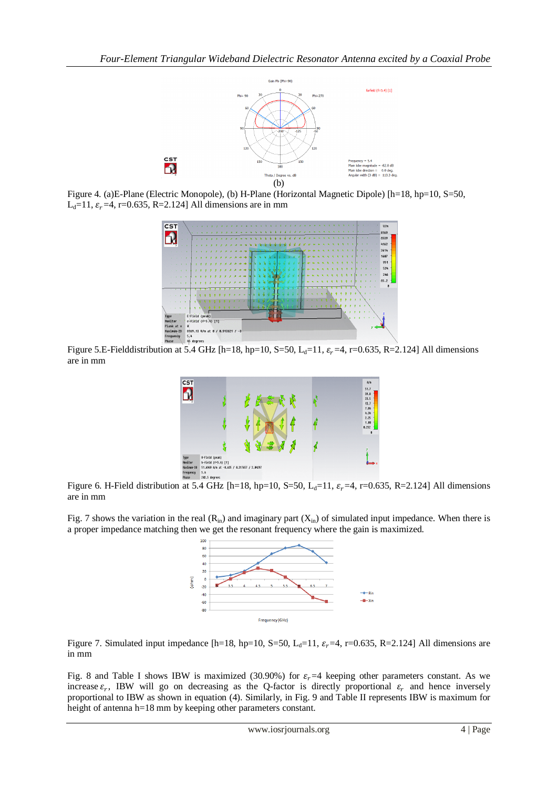

Figure 4. (a)E-Plane (Electric Monopole), (b) H-Plane (Horizontal Magnetic Dipole) [h=18, hp=10, S=50, L<sub>d</sub>=11,  $\varepsilon_r$ =4, r=0.635, R=2.124] All dimensions are in mm



Figure 5.E-Fielddistribution at 5.4 GHz [h=18, hp=10, S=50, L<sub>d</sub>=11,  $\varepsilon$ <sub>r</sub>=4, r=0.635, R=2.124] All dimensions are in mm



Figure 6. H-Field distribution at 5.4 GHz [h=18, hp=10, S=50, L<sub>d</sub>=11,  $\varepsilon$ <sub>r</sub>=4, r=0.635, R=2.124] All dimensions are in mm

Fig. 7 shows the variation in the real  $(R_{in})$  and imaginary part  $(X_{in})$  of simulated input impedance. When there is a proper impedance matching then we get the resonant frequency where the gain is maximized.



Figure 7. Simulated input impedance [h=18, hp=10, S=50, L<sub>d</sub>=11,  $\varepsilon_r$ =4, r=0.635, R=2.124] All dimensions are in mm

Fig. 8 and Table I shows IBW is maximized (30.90%) for  $\varepsilon_r = 4$  keeping other parameters constant. As we increase  $\varepsilon_r$ , IBW will go on decreasing as the Q-factor is directly proportional  $\varepsilon_r$  and hence inversely proportional to IBW as shown in equation (4). Similarly, in Fig. 9 and Table II represents IBW is maximum for height of antenna h=18 mm by keeping other parameters constant.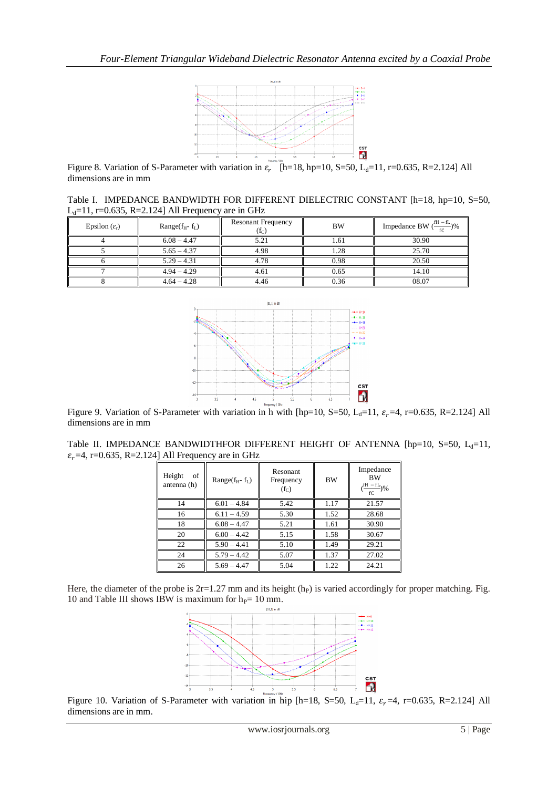

Figure 8. Variation of S-Parameter with variation in  $\varepsilon_r$  [h=18, hp=10, S=50, L<sub>d</sub>=11, r=0.635, R=2.124] All dimensions are in mm

Table I. IMPEDANCE BANDWIDTH FOR DIFFERENT DIELECTRIC CONSTANT [h=18, hp=10, S=50, L<sub>d</sub>=11, r=0.635, R=2.124] All Frequency are in GHz

| Epsilon $(\varepsilon_{r})$ | Range $(f_H - f_L)$ | <b>Resonant Frequency</b><br>$(f_C)$ | <b>BW</b> | Impedance BW $(\frac{fH - fL}{fC})$ % |
|-----------------------------|---------------------|--------------------------------------|-----------|---------------------------------------|
|                             | $6.08 - 4.47$       | 5.21                                 | 1.61      | 30.90                                 |
|                             | $5.65 - 4.37$       | 4.98                                 | 1.28      | 25.70                                 |
|                             | $5.29 - 4.31$       | 4.78                                 | 0.98      | 20.50                                 |
|                             | $4.94 - 4.29$       | 4.61                                 | 0.65      | 14.10                                 |
|                             | $4.64 - 4.28$       | 4.46                                 | 0.36      | 08.07                                 |



Figure 9. Variation of S-Parameter with variation in h with [hp=10, S=50, L<sub>d</sub>=11,  $\varepsilon_r$ =4, r=0.635, R=2.124] All dimensions are in mm

| Table II. IMPEDANCE BANDWIDTHFOR DIFFERENT HEIGHT OF ANTENNA [hp=10, S=50, $L_d$ =11, |  |  |  |  |
|---------------------------------------------------------------------------------------|--|--|--|--|
| $\varepsilon_r$ =4, r=0.635, R=2.124] All Frequency are in GHz                        |  |  |  |  |

| Height<br>οf<br>antenna (h) | Range $(f_H - f_L)$ | Resonant<br>Frequency<br>$(f_C)$ | <b>BW</b> | Impedance<br><b>BW</b><br>$\left(\frac{fH - fL}{fC}\right)\%$ |
|-----------------------------|---------------------|----------------------------------|-----------|---------------------------------------------------------------|
| 14                          | $6.01 - 4.84$       | 5.42                             | 1.17      | 21.57                                                         |
| 16                          | $6.11 - 4.59$       | 5.30                             | 1.52      | 28.68                                                         |
| 18                          | $6.08 - 4.47$       | 5.21                             | 1.61      | 30.90                                                         |
| 20                          | $6.00 - 4.42$       | 5.15                             | 1.58      | 30.67                                                         |
| 22                          | $5.90 - 4.41$       | 5.10                             | 1.49      | 29.21                                                         |
| 24                          | $5.79 - 4.42$       | 5.07                             | 1.37      | 27.02                                                         |
| 26                          | $5.69 - 4.47$       | 5.04                             | 1.22      | 24.21                                                         |

Here, the diameter of the probe is  $2r=1.27$  mm and its height (h<sub>P</sub>) is varied accordingly for proper matching. Fig. 10 and Table III shows IBW is maximum for  $h_P = 10$  mm.



Figure 10. Variation of S-Parameter with variation in hip [h=18, S=50, L<sub>d</sub>=11,  $\varepsilon$ <sub>r</sub>=4, r=0.635, R=2.124] All dimensions are in mm.